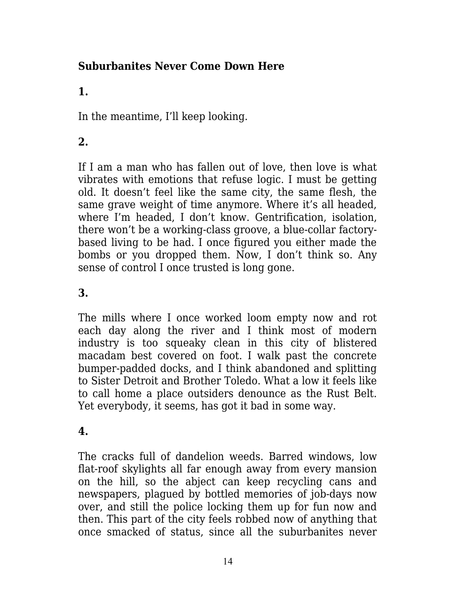## **Suburbanites Never Come Down Here**

# **1.**

In the meantime, I'll keep looking.

# **2.**

If I am a man who has fallen out of love, then love is what vibrates with emotions that refuse logic. I must be getting old. It doesn't feel like the same city, the same flesh, the same grave weight of time anymore. Where it's all headed, where I'm headed, I don't know. Gentrification, isolation, there won't be a working-class groove, a blue-collar factorybased living to be had. I once figured you either made the bombs or you dropped them. Now, I don't think so. Any sense of control I once trusted is long gone.

### **3.**

The mills where I once worked loom empty now and rot each day along the river and I think most of modern industry is too squeaky clean in this city of blistered macadam best covered on foot. I walk past the concrete bumper-padded docks, and I think abandoned and splitting to Sister Detroit and Brother Toledo. What a low it feels like to call home a place outsiders denounce as the Rust Belt. Yet everybody, it seems, has got it bad in some way.

### **4.**

The cracks full of dandelion weeds. Barred windows, low flat-roof skylights all far enough away from every mansion on the hill, so the abject can keep recycling cans and newspapers, plagued by bottled memories of job-days now over, and still the police locking them up for fun now and then. This part of the city feels robbed now of anything that once smacked of status, since all the suburbanites never